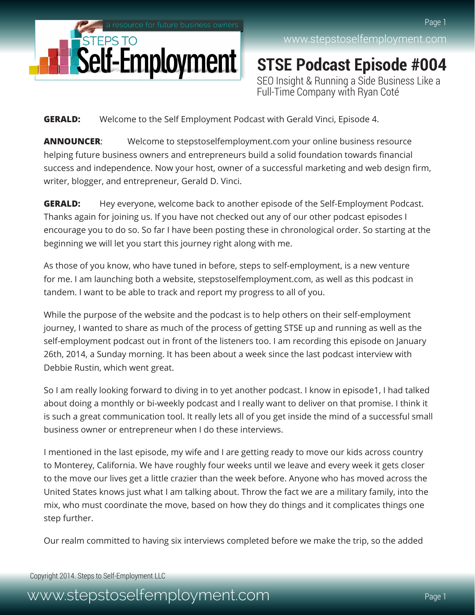

**STSE Podcast Episode #004** SEO Insight & Running a Side Business Like a Full-Time Company with Ryan Coté

**GERALD:** Welcome to the Self Employment Podcast with Gerald Vinci, Episode 4.

**ANNOUNCER**: Welcome to stepstoselfemployment.com your online business resource helping future business owners and entrepreneurs build a solid foundation towards financial success and independence. Now your host, owner of a successful marketing and web design firm, writer, blogger, and entrepreneur, Gerald D. Vinci.

**GERALD:** Hey everyone, welcome back to another episode of the Self-Employment Podcast. Thanks again for joining us. If you have not checked out any of our other podcast episodes I encourage you to do so. So far I have been posting these in chronological order. So starting at the beginning we will let you start this journey right along with me.

As those of you know, who have tuned in before, steps to self-employment, is a new venture for me. I am launching both a website, stepstoselfemployment.com, as well as this podcast in tandem. I want to be able to track and report my progress to all of you.

While the purpose of the website and the podcast is to help others on their self-employment journey, I wanted to share as much of the process of getting STSE up and running as well as the self-employment podcast out in front of the listeners too. I am recording this episode on January 26th, 2014, a Sunday morning. It has been about a week since the last podcast interview with Debbie Rustin, which went great.

So I am really looking forward to diving in to yet another podcast. I know in episode1, I had talked about doing a monthly or bi-weekly podcast and I really want to deliver on that promise. I think it is such a great communication tool. It really lets all of you get inside the mind of a successful small business owner or entrepreneur when I do these interviews.

I mentioned in the last episode, my wife and I are getting ready to move our kids across country to Monterey, California. We have roughly four weeks until we leave and every week it gets closer to the move our lives get a little crazier than the week before. Anyone who has moved across the United States knows just what I am talking about. Throw the fact we are a military family, into the mix, who must coordinate the move, based on how they do things and it complicates things one step further.

Our realm committed to having six interviews completed before we make the trip, so the added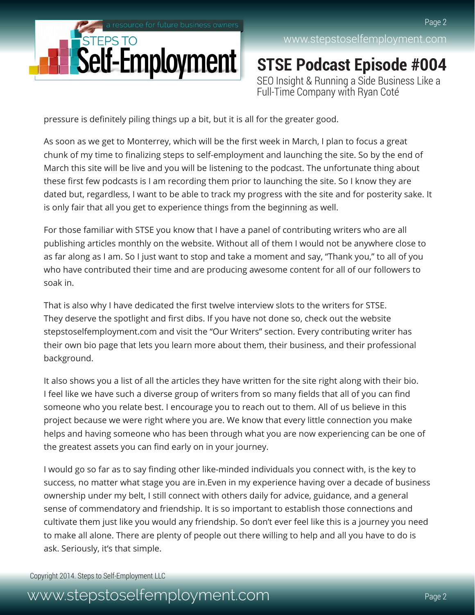

**STSE Podcast Episode #004** SEO Insight & Running a Side Business Like a Full-Time Company with Ryan Coté

pressure is definitely piling things up a bit, but it is all for the greater good.

As soon as we get to Monterrey, which will be the first week in March, I plan to focus a great chunk of my time to finalizing steps to self-employment and launching the site. So by the end of March this site will be live and you will be listening to the podcast. The unfortunate thing about these first few podcasts is I am recording them prior to launching the site. So I know they are dated but, regardless, I want to be able to track my progress with the site and for posterity sake. It is only fair that all you get to experience things from the beginning as well.

For those familiar with STSE you know that I have a panel of contributing writers who are all publishing articles monthly on the website. Without all of them I would not be anywhere close to as far along as I am. So I just want to stop and take a moment and say, "Thank you," to all of you who have contributed their time and are producing awesome content for all of our followers to soak in.

That is also why I have dedicated the first twelve interview slots to the writers for STSE. They deserve the spotlight and first dibs. If you have not done so, check out the website stepstoselfemployment.com and visit the "Our Writers" section. Every contributing writer has their own bio page that lets you learn more about them, their business, and their professional background.

It also shows you a list of all the articles they have written for the site right along with their bio. I feel like we have such a diverse group of writers from so many fields that all of you can find someone who you relate best. I encourage you to reach out to them. All of us believe in this project because we were right where you are. We know that every little connection you make helps and having someone who has been through what you are now experiencing can be one of the greatest assets you can find early on in your journey.

I would go so far as to say finding other like-minded individuals you connect with, is the key to success, no matter what stage you are in.Even in my experience having over a decade of business ownership under my belt, I still connect with others daily for advice, guidance, and a general sense of commendatory and friendship. It is so important to establish those connections and cultivate them just like you would any friendship. So don't ever feel like this is a journey you need to make all alone. There are plenty of people out there willing to help and all you have to do is ask. Seriously, it's that simple.

Copyright 2014. Steps to Self-Employment LLC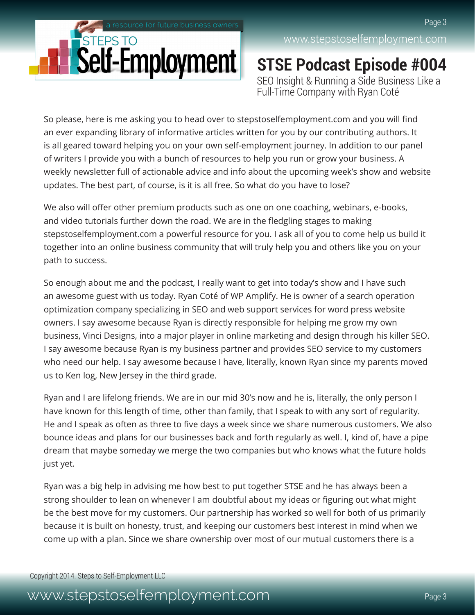

**STSE Podcast Episode #004** SEO Insight & Running a Side Business Like a Full-Time Company with Ryan Coté

So please, here is me asking you to head over to stepstoselfemployment.com and you will find an ever expanding library of informative articles written for you by our contributing authors. It is all geared toward helping you on your own self-employment journey. In addition to our panel of writers I provide you with a bunch of resources to help you run or grow your business. A weekly newsletter full of actionable advice and info about the upcoming week's show and website updates. The best part, of course, is it is all free. So what do you have to lose?

We also will offer other premium products such as one on one coaching, webinars, e-books, and video tutorials further down the road. We are in the fledgling stages to making stepstoselfemployment.com a powerful resource for you. I ask all of you to come help us build it together into an online business community that will truly help you and others like you on your path to success.

So enough about me and the podcast, I really want to get into today's show and I have such an awesome guest with us today. Ryan Coté of WP Amplify. He is owner of a search operation optimization company specializing in SEO and web support services for word press website owners. I say awesome because Ryan is directly responsible for helping me grow my own business, Vinci Designs, into a major player in online marketing and design through his killer SEO. I say awesome because Ryan is my business partner and provides SEO service to my customers who need our help. I say awesome because I have, literally, known Ryan since my parents moved us to Ken log, New Jersey in the third grade.

Ryan and I are lifelong friends. We are in our mid 30's now and he is, literally, the only person I have known for this length of time, other than family, that I speak to with any sort of regularity. He and I speak as often as three to five days a week since we share numerous customers. We also bounce ideas and plans for our businesses back and forth regularly as well. I, kind of, have a pipe dream that maybe someday we merge the two companies but who knows what the future holds just yet.

Ryan was a big help in advising me how best to put together STSE and he has always been a strong shoulder to lean on whenever I am doubtful about my ideas or figuring out what might be the best move for my customers. Our partnership has worked so well for both of us primarily because it is built on honesty, trust, and keeping our customers best interest in mind when we come up with a plan. Since we share ownership over most of our mutual customers there is a

Copyright 2014. Steps to Self-Employment LLC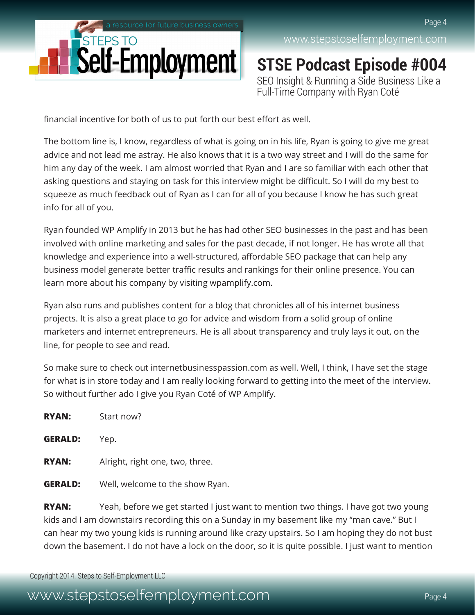

**STSE Podcast Episode #004** SEO Insight & Running a Side Business Like a Full-Time Company with Ryan Coté

financial incentive for both of us to put forth our best effort as well.

The bottom line is, I know, regardless of what is going on in his life, Ryan is going to give me great advice and not lead me astray. He also knows that it is a two way street and I will do the same for him any day of the week. I am almost worried that Ryan and I are so familiar with each other that asking questions and staying on task for this interview might be difficult. So I will do my best to squeeze as much feedback out of Ryan as I can for all of you because I know he has such great info for all of you.

Ryan founded WP Amplify in 2013 but he has had other SEO businesses in the past and has been involved with online marketing and sales for the past decade, if not longer. He has wrote all that knowledge and experience into a well-structured, affordable SEO package that can help any business model generate better traffic results and rankings for their online presence. You can learn more about his company by visiting wpamplify.com.

Ryan also runs and publishes content for a blog that chronicles all of his internet business projects. It is also a great place to go for advice and wisdom from a solid group of online marketers and internet entrepreneurs. He is all about transparency and truly lays it out, on the line, for people to see and read.

So make sure to check out internetbusinesspassion.com as well. Well, I think, I have set the stage for what is in store today and I am really looking forward to getting into the meet of the interview. So without further ado I give you Ryan Coté of WP Amplify.

| <b>RYAN:</b>   | Start now?                      |
|----------------|---------------------------------|
| <b>GERALD:</b> | Yep.                            |
| <b>RYAN:</b>   | Alright, right one, two, three. |
| GERALD:        | Well, welcome to the show Ryan. |

**RYAN:** Yeah, before we get started I just want to mention two things. I have got two young kids and I am downstairs recording this on a Sunday in my basement like my "man cave." But I can hear my two young kids is running around like crazy upstairs. So I am hoping they do not bust down the basement. I do not have a lock on the door, so it is quite possible. I just want to mention

Copyright 2014. Steps to Self-Employment LLC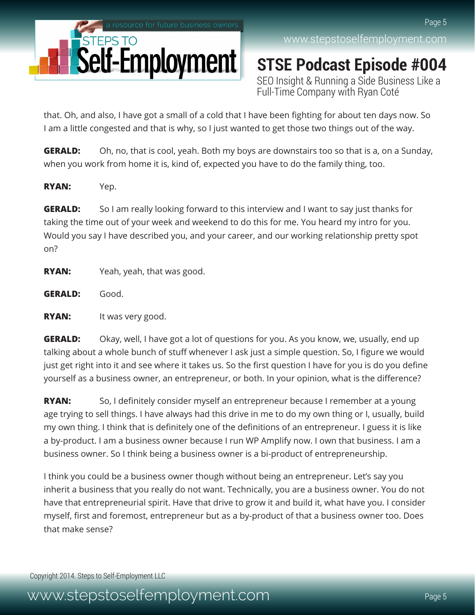

**STSE Podcast Episode #004** SEO Insight & Running a Side Business Like a Full-Time Company with Ryan Coté

that. Oh, and also, I have got a small of a cold that I have been fighting for about ten days now. So I am a little congested and that is why, so I just wanted to get those two things out of the way.

**GERALD:** Oh, no, that is cool, yeah. Both my boys are downstairs too so that is a, on a Sunday, when you work from home it is, kind of, expected you have to do the family thing, too.

**RYAN:** Yep.

**GERALD:** So I am really looking forward to this interview and I want to say just thanks for taking the time out of your week and weekend to do this for me. You heard my intro for you. Would you say I have described you, and your career, and our working relationship pretty spot on?

**RYAN:** Yeah, yeah, that was good.

**GERALD:** Good.

**RYAN:** It was very good.

**GERALD:** Okay, well, I have got a lot of questions for you. As you know, we, usually, end up talking about a whole bunch of stuff whenever I ask just a simple question. So, I figure we would just get right into it and see where it takes us. So the first question I have for you is do you define yourself as a business owner, an entrepreneur, or both. In your opinion, what is the difference?

**RYAN:** So, I definitely consider myself an entrepreneur because I remember at a young age trying to sell things. I have always had this drive in me to do my own thing or I, usually, build my own thing. I think that is definitely one of the definitions of an entrepreneur. I guess it is like a by-product. I am a business owner because I run WP Amplify now. I own that business. I am a business owner. So I think being a business owner is a bi-product of entrepreneurship.

I think you could be a business owner though without being an entrepreneur. Let's say you inherit a business that you really do not want. Technically, you are a business owner. You do not have that entrepreneurial spirit. Have that drive to grow it and build it, what have you. I consider myself, first and foremost, entrepreneur but as a by-product of that a business owner too. Does that make sense?

Copyright 2014. Steps to Self-Employment LLC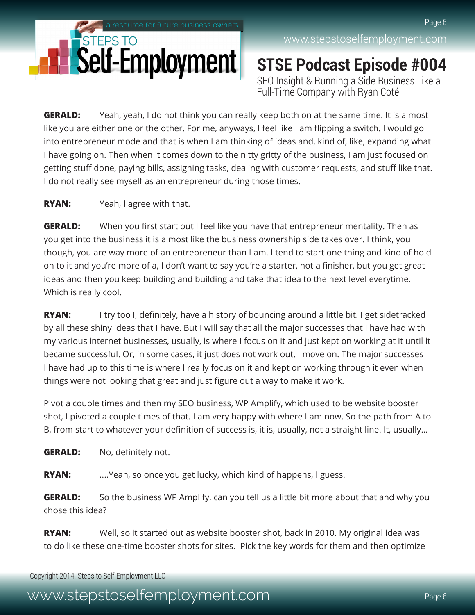

**STSE Podcast Episode #004** SEO Insight & Running a Side Business Like a Full-Time Company with Ryan Coté

**GERALD:** Yeah, yeah, I do not think you can really keep both on at the same time. It is almost like you are either one or the other. For me, anyways, I feel like I am flipping a switch. I would go into entrepreneur mode and that is when I am thinking of ideas and, kind of, like, expanding what I have going on. Then when it comes down to the nitty gritty of the business, I am just focused on getting stuff done, paying bills, assigning tasks, dealing with customer requests, and stuff like that. I do not really see myself as an entrepreneur during those times.

#### **RYAN:** Yeah, I agree with that.

**GERALD:** When you first start out I feel like you have that entrepreneur mentality. Then as you get into the business it is almost like the business ownership side takes over. I think, you though, you are way more of an entrepreneur than I am. I tend to start one thing and kind of hold on to it and you're more of a, I don't want to say you're a starter, not a finisher, but you get great ideas and then you keep building and building and take that idea to the next level everytime. Which is really cool.

**RYAN:** I try too I, definitely, have a history of bouncing around a little bit. I get sidetracked by all these shiny ideas that I have. But I will say that all the major successes that I have had with my various internet businesses, usually, is where I focus on it and just kept on working at it until it became successful. Or, in some cases, it just does not work out, I move on. The major successes I have had up to this time is where I really focus on it and kept on working through it even when things were not looking that great and just figure out a way to make it work.

Pivot a couple times and then my SEO business, WP Amplify, which used to be website booster shot, I pivoted a couple times of that. I am very happy with where I am now. So the path from A to B, from start to whatever your definition of success is, it is, usually, not a straight line. It, usually...

**GERALD:** No, definitely not.

**RYAN:** ....Yeah, so once you get lucky, which kind of happens, I guess.

**GERALD:** So the business WP Amplify, can you tell us a little bit more about that and why you chose this idea?

**RYAN:** Well, so it started out as website booster shot, back in 2010. My original idea was to do like these one-time booster shots for sites. Pick the key words for them and then optimize

Copyright 2014. Steps to Self-Employment LLC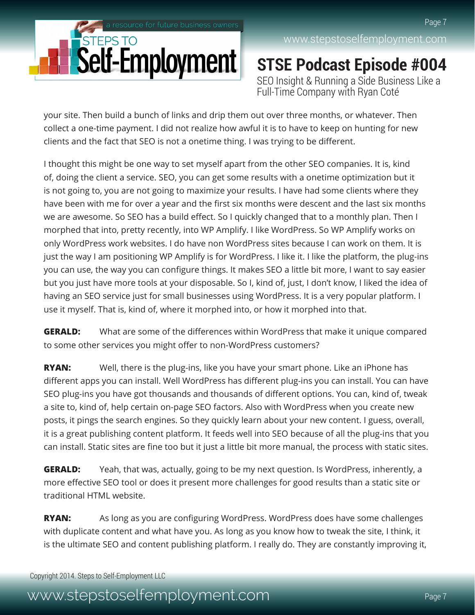

**STSE Podcast Episode #004** SEO Insight & Running a Side Business Like a Full-Time Company with Ryan Coté

your site. Then build a bunch of links and drip them out over three months, or whatever. Then collect a one-time payment. I did not realize how awful it is to have to keep on hunting for new clients and the fact that SEO is not a onetime thing. I was trying to be different.

I thought this might be one way to set myself apart from the other SEO companies. It is, kind of, doing the client a service. SEO, you can get some results with a onetime optimization but it is not going to, you are not going to maximize your results. I have had some clients where they have been with me for over a year and the first six months were descent and the last six months we are awesome. So SEO has a build effect. So I quickly changed that to a monthly plan. Then I morphed that into, pretty recently, into WP Amplify. I like WordPress. So WP Amplify works on only WordPress work websites. I do have non WordPress sites because I can work on them. It is just the way I am positioning WP Amplify is for WordPress. I like it. I like the platform, the plug-ins you can use, the way you can configure things. It makes SEO a little bit more, I want to say easier but you just have more tools at your disposable. So I, kind of, just, I don't know, I liked the idea of having an SEO service just for small businesses using WordPress. It is a very popular platform. I use it myself. That is, kind of, where it morphed into, or how it morphed into that.

**GERALD:** What are some of the differences within WordPress that make it unique compared to some other services you might offer to non-WordPress customers?

**RYAN:** Well, there is the plug-ins, like you have your smart phone. Like an iPhone has different apps you can install. Well WordPress has different plug-ins you can install. You can have SEO plug-ins you have got thousands and thousands of different options. You can, kind of, tweak a site to, kind of, help certain on-page SEO factors. Also with WordPress when you create new posts, it pings the search engines. So they quickly learn about your new content. I guess, overall, it is a great publishing content platform. It feeds well into SEO because of all the plug-ins that you can install. Static sites are fine too but it just a little bit more manual, the process with static sites.

**GERALD:** Yeah, that was, actually, going to be my next question. Is WordPress, inherently, a more effective SEO tool or does it present more challenges for good results than a static site or traditional HTML website.

**RYAN:** As long as you are configuring WordPress. WordPress does have some challenges with duplicate content and what have you. As long as you know how to tweak the site, I think, it is the ultimate SEO and content publishing platform. I really do. They are constantly improving it,

Copyright 2014. Steps to Self-Employment LLC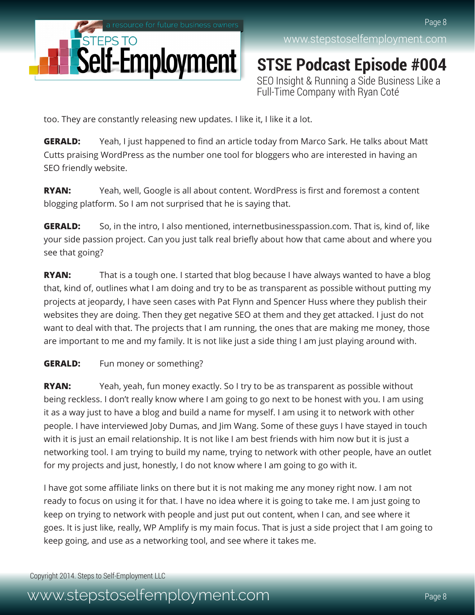

**STSE Podcast Episode #004** SEO Insight & Running a Side Business Like a Full-Time Company with Ryan Coté

too. They are constantly releasing new updates. I like it, I like it a lot.

**GERALD:** Yeah, I just happened to find an article today from Marco Sark. He talks about Matt Cutts praising WordPress as the number one tool for bloggers who are interested in having an SEO friendly website.

**RYAN:** Yeah, well, Google is all about content. WordPress is first and foremost a content blogging platform. So I am not surprised that he is saying that.

**GERALD:** So, in the intro, I also mentioned, internetbusinesspassion.com. That is, kind of, like your side passion project. Can you just talk real briefly about how that came about and where you see that going?

**RYAN:** That is a tough one. I started that blog because I have always wanted to have a blog that, kind of, outlines what I am doing and try to be as transparent as possible without putting my projects at jeopardy, I have seen cases with Pat Flynn and Spencer Huss where they publish their websites they are doing. Then they get negative SEO at them and they get attacked. I just do not want to deal with that. The projects that I am running, the ones that are making me money, those are important to me and my family. It is not like just a side thing I am just playing around with.

#### **GERALD:** Fun money or something?

**RYAN:** Yeah, yeah, fun money exactly. So I try to be as transparent as possible without being reckless. I don't really know where I am going to go next to be honest with you. I am using it as a way just to have a blog and build a name for myself. I am using it to network with other people. I have interviewed Joby Dumas, and Jim Wang. Some of these guys I have stayed in touch with it is just an email relationship. It is not like I am best friends with him now but it is just a networking tool. I am trying to build my name, trying to network with other people, have an outlet for my projects and just, honestly, I do not know where I am going to go with it.

I have got some affiliate links on there but it is not making me any money right now. I am not ready to focus on using it for that. I have no idea where it is going to take me. I am just going to keep on trying to network with people and just put out content, when I can, and see where it goes. It is just like, really, WP Amplify is my main focus. That is just a side project that I am going to keep going, and use as a networking tool, and see where it takes me.

Copyright 2014. Steps to Self-Employment LLC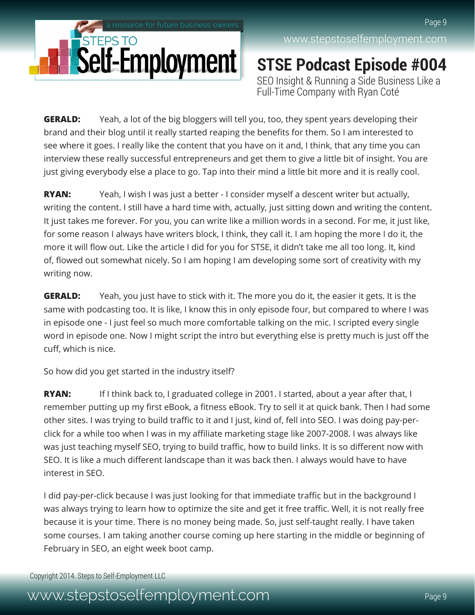

**STSE Podcast Episode #004** SEO Insight & Running a Side Business Like a Full-Time Company with Ryan Coté

**GERALD:** Yeah, a lot of the big bloggers will tell you, too, they spent years developing their brand and their blog until it really started reaping the benefits for them. So I am interested to see where it goes. I really like the content that you have on it and, I think, that any time you can interview these really successful entrepreneurs and get them to give a little bit of insight. You are just giving everybody else a place to go. Tap into their mind a little bit more and it is really cool.

**RYAN:** Yeah, I wish I was just a better - I consider myself a descent writer but actually, writing the content. I still have a hard time with, actually, just sitting down and writing the content. It just takes me forever. For you, you can write like a million words in a second. For me, it just like, for some reason I always have writers block, I think, they call it. I am hoping the more I do it, the more it will flow out. Like the article I did for you for STSE, it didn't take me all too long. It, kind of, flowed out somewhat nicely. So I am hoping I am developing some sort of creativity with my writing now.

**GERALD:** Yeah, you just have to stick with it. The more you do it, the easier it gets. It is the same with podcasting too. It is like, I know this in only episode four, but compared to where I was in episode one - I just feel so much more comfortable talking on the mic. I scripted every single word in episode one. Now I might script the intro but everything else is pretty much is just off the cuff, which is nice.

So how did you get started in the industry itself?

**RYAN:** If I think back to, I graduated college in 2001. I started, about a year after that, I remember putting up my first eBook, a fitness eBook. Try to sell it at quick bank. Then I had some other sites. I was trying to build traffic to it and I just, kind of, fell into SEO. I was doing pay-perclick for a while too when I was in my affiliate marketing stage like 2007-2008. I was always like was just teaching myself SEO, trying to build traffic, how to build links. It is so different now with SEO. It is like a much different landscape than it was back then. I always would have to have interest in SEO.

I did pay-per-click because I was just looking for that immediate traffic but in the background I was always trying to learn how to optimize the site and get it free traffic. Well, it is not really free because it is your time. There is no money being made. So, just self-taught really. I have taken some courses. I am taking another course coming up here starting in the middle or beginning of February in SEO, an eight week boot camp.

Copyright 2014. Steps to Self-Employment LLC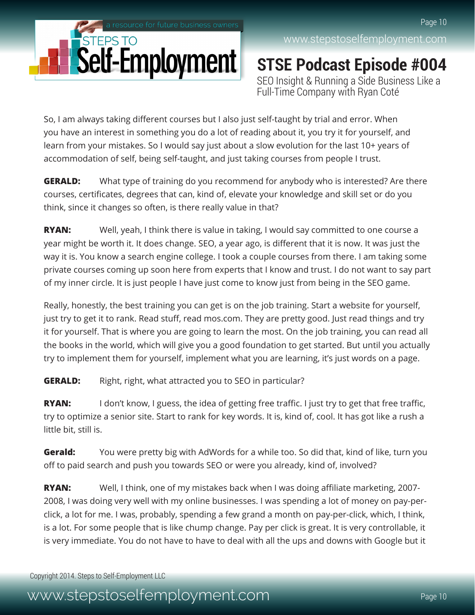

**STSE Podcast Episode #004** SEO Insight & Running a Side Business Like a Full-Time Company with Ryan Coté

So, I am always taking different courses but I also just self-taught by trial and error. When you have an interest in something you do a lot of reading about it, you try it for yourself, and learn from your mistakes. So I would say just about a slow evolution for the last 10+ years of accommodation of self, being self-taught, and just taking courses from people I trust.

**GERALD:** What type of training do you recommend for anybody who is interested? Are there courses, certificates, degrees that can, kind of, elevate your knowledge and skill set or do you think, since it changes so often, is there really value in that?

**RYAN:** Well, yeah, I think there is value in taking, I would say committed to one course a year might be worth it. It does change. SEO, a year ago, is different that it is now. It was just the way it is. You know a search engine college. I took a couple courses from there. I am taking some private courses coming up soon here from experts that I know and trust. I do not want to say part of my inner circle. It is just people I have just come to know just from being in the SEO game.

Really, honestly, the best training you can get is on the job training. Start a website for yourself, just try to get it to rank. Read stuff, read mos.com. They are pretty good. Just read things and try it for yourself. That is where you are going to learn the most. On the job training, you can read all the books in the world, which will give you a good foundation to get started. But until you actually try to implement them for yourself, implement what you are learning, it's just words on a page.

**GERALD:** Right, right, what attracted you to SEO in particular?

**RYAN:** I don't know, I guess, the idea of getting free traffic. I just try to get that free traffic, try to optimize a senior site. Start to rank for key words. It is, kind of, cool. It has got like a rush a little bit, still is.

**Gerald:** You were pretty big with AdWords for a while too. So did that, kind of like, turn you off to paid search and push you towards SEO or were you already, kind of, involved?

**RYAN:** Well, I think, one of my mistakes back when I was doing affiliate marketing, 2007- 2008, I was doing very well with my online businesses. I was spending a lot of money on pay-perclick, a lot for me. I was, probably, spending a few grand a month on pay-per-click, which, I think, is a lot. For some people that is like chump change. Pay per click is great. It is very controllable, it is very immediate. You do not have to have to deal with all the ups and downs with Google but it

Copyright 2014. Steps to Self-Employment LLC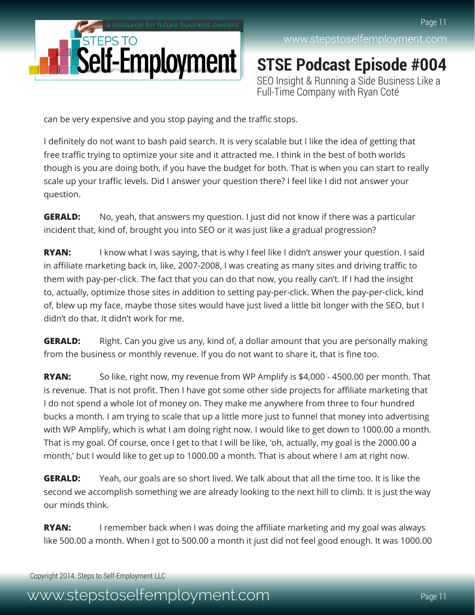

**STSE Podcast Episode #004** SEO Insight & Running a Side Business Like a Full-Time Company with Ryan Coté

can be very expensive and you stop paying and the traffic stops.

I definitely do not want to bash paid search. It is very scalable but I like the idea of getting that free traffic trying to optimize your site and it attracted me. I think in the best of both worlds though is you are doing both, if you have the budget for both. That is when you can start to really scale up your traffic levels. Did I answer your question there? I feel like I did not answer your question.

**GERALD:** No, yeah, that answers my question. I just did not know if there was a particular incident that, kind of, brought you into SEO or it was just like a gradual progression?

**RYAN:** I know what I was saying, that is why I feel like I didn't answer your question. I said in affiliate marketing back in, like, 2007-2008, I was creating as many sites and driving traffic to them with pay-per-click. The fact that you can do that now, you really can't. If I had the insight to, actually, optimize those sites in addition to setting pay-per-click. When the pay-per-click, kind of, blew up my face, maybe those sites would have just lived a little bit longer with the SEO, but I didn't do that. It didn't work for me.

**GERALD:** Right. Can you give us any, kind of, a dollar amount that you are personally making from the business or monthly revenue. If you do not want to share it, that is fine too.

**RYAN:** So like, right now, my revenue from WP Amplify is \$4,000 - 4500.00 per month. That is revenue. That is not profit. Then I have got some other side projects for affiliate marketing that I do not spend a whole lot of money on. They make me anywhere from three to four hundred bucks a month. I am trying to scale that up a little more just to funnel that money into advertising with WP Amplify, which is what I am doing right now. I would like to get down to 1000.00 a month. That is my goal. Of course, once I get to that I will be like, 'oh, actually, my goal is the 2000.00 a month,' but I would like to get up to 1000.00 a month. That is about where I am at right now.

**GERALD:** Yeah, our goals are so short lived. We talk about that all the time too. It is like the second we accomplish something we are already looking to the next hill to climb. It is just the way our minds think.

**RYAN:** I remember back when I was doing the affiliate marketing and my goal was always like 500.00 a month. When I got to 500.00 a month it just did not feel good enough. It was 1000.00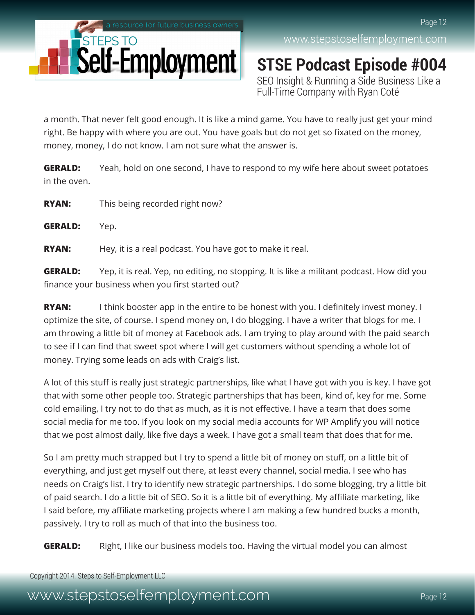

**STSE Podcast Episode #004** SEO Insight & Running a Side Business Like a Full-Time Company with Ryan Coté

a month. That never felt good enough. It is like a mind game. You have to really just get your mind right. Be happy with where you are out. You have goals but do not get so fixated on the money, money, money, I do not know. I am not sure what the answer is.

**GERALD:** Yeah, hold on one second, I have to respond to my wife here about sweet potatoes in the oven.

**RYAN:** This being recorded right now?

**GERALD:** Yep.

**RYAN:** Hey, it is a real podcast. You have got to make it real.

**GERALD:** Yep, it is real. Yep, no editing, no stopping. It is like a militant podcast. How did you finance your business when you first started out?

**RYAN:** I think booster app in the entire to be honest with you. I definitely invest money. I optimize the site, of course. I spend money on, I do blogging. I have a writer that blogs for me. I am throwing a little bit of money at Facebook ads. I am trying to play around with the paid search to see if I can find that sweet spot where I will get customers without spending a whole lot of money. Trying some leads on ads with Craig's list.

A lot of this stuff is really just strategic partnerships, like what I have got with you is key. I have got that with some other people too. Strategic partnerships that has been, kind of, key for me. Some cold emailing, I try not to do that as much, as it is not effective. I have a team that does some social media for me too. If you look on my social media accounts for WP Amplify you will notice that we post almost daily, like five days a week. I have got a small team that does that for me.

So I am pretty much strapped but I try to spend a little bit of money on stuff, on a little bit of everything, and just get myself out there, at least every channel, social media. I see who has needs on Craig's list. I try to identify new strategic partnerships. I do some blogging, try a little bit of paid search. I do a little bit of SEO. So it is a little bit of everything. My affiliate marketing, like I said before, my affiliate marketing projects where I am making a few hundred bucks a month, passively. I try to roll as much of that into the business too.

**GERALD:** Right, I like our business models too. Having the virtual model you can almost

Copyright 2014. Steps to Self-Employment LLC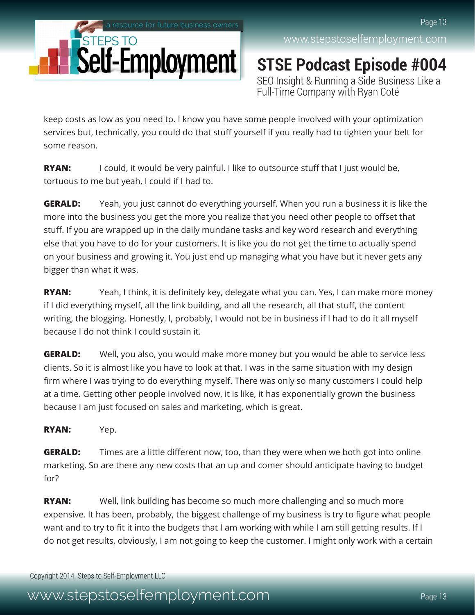

**STSE Podcast Episode #004** SEO Insight & Running a Side Business Like a Full-Time Company with Ryan Coté

keep costs as low as you need to. I know you have some people involved with your optimization services but, technically, you could do that stuff yourself if you really had to tighten your belt for some reason.

**RYAN:** I could, it would be very painful. I like to outsource stuff that I just would be, tortuous to me but yeah, I could if I had to.

**GERALD:** Yeah, you just cannot do everything yourself. When you run a business it is like the more into the business you get the more you realize that you need other people to offset that stuff. If you are wrapped up in the daily mundane tasks and key word research and everything else that you have to do for your customers. It is like you do not get the time to actually spend on your business and growing it. You just end up managing what you have but it never gets any bigger than what it was.

**RYAN:** Yeah, I think, it is definitely key, delegate what you can. Yes, I can make more money if I did everything myself, all the link building, and all the research, all that stuff, the content writing, the blogging. Honestly, I, probably, I would not be in business if I had to do it all myself because I do not think I could sustain it.

**GERALD:** Well, you also, you would make more money but you would be able to service less clients. So it is almost like you have to look at that. I was in the same situation with my design firm where I was trying to do everything myself. There was only so many customers I could help at a time. Getting other people involved now, it is like, it has exponentially grown the business because I am just focused on sales and marketing, which is great.

#### **RYAN:** Yep.

**GERALD:** Times are a little different now, too, than they were when we both got into online marketing. So are there any new costs that an up and comer should anticipate having to budget for?

**RYAN:** Well, link building has become so much more challenging and so much more expensive. It has been, probably, the biggest challenge of my business is try to figure what people want and to try to fit it into the budgets that I am working with while I am still getting results. If I do not get results, obviously, I am not going to keep the customer. I might only work with a certain

Copyright 2014. Steps to Self-Employment LLC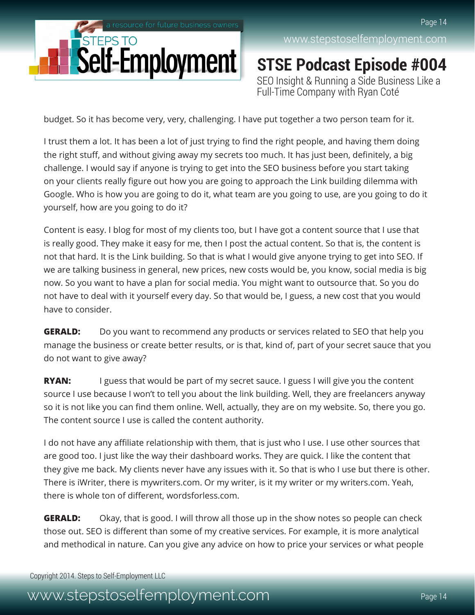

**STSE Podcast Episode #004** SEO Insight & Running a Side Business Like a Full-Time Company with Ryan Coté

budget. So it has become very, very, challenging. I have put together a two person team for it.

I trust them a lot. It has been a lot of just trying to find the right people, and having them doing the right stuff, and without giving away my secrets too much. It has just been, definitely, a big challenge. I would say if anyone is trying to get into the SEO business before you start taking on your clients really figure out how you are going to approach the Link building dilemma with Google. Who is how you are going to do it, what team are you going to use, are you going to do it yourself, how are you going to do it?

Content is easy. I blog for most of my clients too, but I have got a content source that I use that is really good. They make it easy for me, then I post the actual content. So that is, the content is not that hard. It is the Link building. So that is what I would give anyone trying to get into SEO. If we are talking business in general, new prices, new costs would be, you know, social media is big now. So you want to have a plan for social media. You might want to outsource that. So you do not have to deal with it yourself every day. So that would be, I guess, a new cost that you would have to consider.

**GERALD:** Do you want to recommend any products or services related to SEO that help you manage the business or create better results, or is that, kind of, part of your secret sauce that you do not want to give away?

**RYAN:** I guess that would be part of my secret sauce. I guess I will give you the content source I use because I won't to tell you about the link building. Well, they are freelancers anyway so it is not like you can find them online. Well, actually, they are on my website. So, there you go. The content source I use is called the content authority.

I do not have any affiliate relationship with them, that is just who I use. I use other sources that are good too. I just like the way their dashboard works. They are quick. I like the content that they give me back. My clients never have any issues with it. So that is who I use but there is other. There is iWriter, there is mywriters.com. Or my writer, is it my writer or my writers.com. Yeah, there is whole ton of different, wordsforless.com.

**GERALD:** Okay, that is good. I will throw all those up in the show notes so people can check those out. SEO is different than some of my creative services. For example, it is more analytical and methodical in nature. Can you give any advice on how to price your services or what people

Copyright 2014. Steps to Self-Employment LLC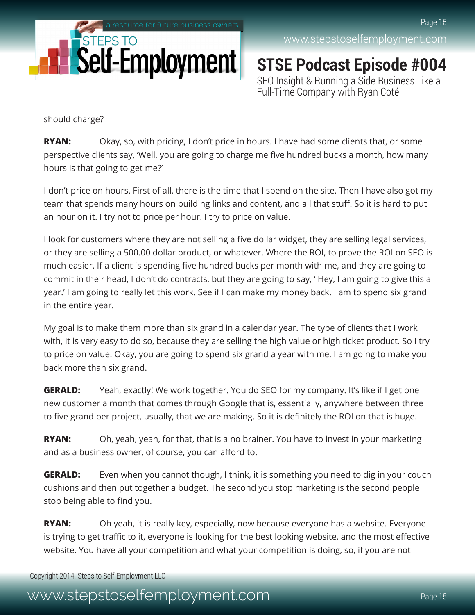

**STSE Podcast Episode #004** SEO Insight & Running a Side Business Like a Full-Time Company with Ryan Coté

should charge?

**RYAN:** Okay, so, with pricing, I don't price in hours. I have had some clients that, or some perspective clients say, 'Well, you are going to charge me five hundred bucks a month, how many hours is that going to get me?'

I don't price on hours. First of all, there is the time that I spend on the site. Then I have also got my team that spends many hours on building links and content, and all that stuff. So it is hard to put an hour on it. I try not to price per hour. I try to price on value.

I look for customers where they are not selling a five dollar widget, they are selling legal services, or they are selling a 500.00 dollar product, or whatever. Where the ROI, to prove the ROI on SEO is much easier. If a client is spending five hundred bucks per month with me, and they are going to commit in their head, I don't do contracts, but they are going to say, ' Hey, I am going to give this a year.' I am going to really let this work. See if I can make my money back. I am to spend six grand in the entire year.

My goal is to make them more than six grand in a calendar year. The type of clients that I work with, it is very easy to do so, because they are selling the high value or high ticket product. So I try to price on value. Okay, you are going to spend six grand a year with me. I am going to make you back more than six grand.

**GERALD:** Yeah, exactly! We work together. You do SEO for my company. It's like if I get one new customer a month that comes through Google that is, essentially, anywhere between three to five grand per project, usually, that we are making. So it is definitely the ROI on that is huge.

**RYAN:** Oh, yeah, yeah, for that, that is a no brainer. You have to invest in your marketing and as a business owner, of course, you can afford to.

**GERALD:** Even when you cannot though, I think, it is something you need to dig in your couch cushions and then put together a budget. The second you stop marketing is the second people stop being able to find you.

**RYAN:** Oh yeah, it is really key, especially, now because everyone has a website. Everyone is trying to get traffic to it, everyone is looking for the best looking website, and the most effective website. You have all your competition and what your competition is doing, so, if you are not

Copyright 2014. Steps to Self-Employment LLC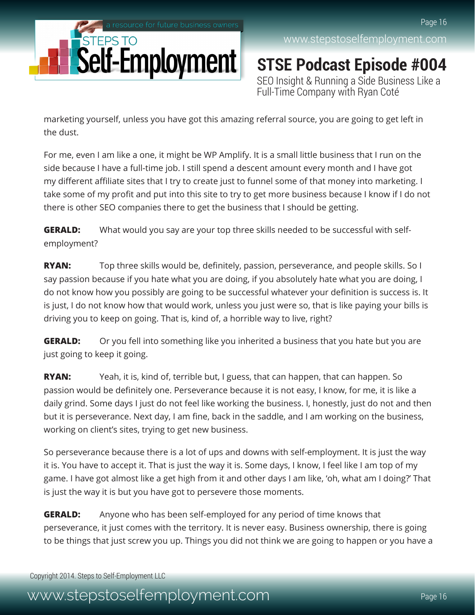

**STSE Podcast Episode #004** SEO Insight & Running a Side Business Like a Full-Time Company with Ryan Coté

marketing yourself, unless you have got this amazing referral source, you are going to get left in the dust.

For me, even I am like a one, it might be WP Amplify. It is a small little business that I run on the side because I have a full-time job. I still spend a descent amount every month and I have got my different affiliate sites that I try to create just to funnel some of that money into marketing. I take some of my profit and put into this site to try to get more business because I know if I do not there is other SEO companies there to get the business that I should be getting.

**GERALD:** What would you say are your top three skills needed to be successful with selfemployment?

**RYAN:** Top three skills would be, definitely, passion, perseverance, and people skills. So I say passion because if you hate what you are doing, if you absolutely hate what you are doing, I do not know how you possibly are going to be successful whatever your definition is success is. It is just, I do not know how that would work, unless you just were so, that is like paying your bills is driving you to keep on going. That is, kind of, a horrible way to live, right?

**GERALD:** Or you fell into something like you inherited a business that you hate but you are just going to keep it going.

**RYAN:** Yeah, it is, kind of, terrible but, I guess, that can happen, that can happen. So passion would be definitely one. Perseverance because it is not easy, I know, for me, it is like a daily grind. Some days I just do not feel like working the business. I, honestly, just do not and then but it is perseverance. Next day, I am fine, back in the saddle, and I am working on the business, working on client's sites, trying to get new business.

So perseverance because there is a lot of ups and downs with self-employment. It is just the way it is. You have to accept it. That is just the way it is. Some days, I know, I feel like I am top of my game. I have got almost like a get high from it and other days I am like, 'oh, what am I doing?' That is just the way it is but you have got to persevere those moments.

**GERALD:** Anyone who has been self-employed for any period of time knows that perseverance, it just comes with the territory. It is never easy. Business ownership, there is going to be things that just screw you up. Things you did not think we are going to happen or you have a

Copyright 2014. Steps to Self-Employment LLC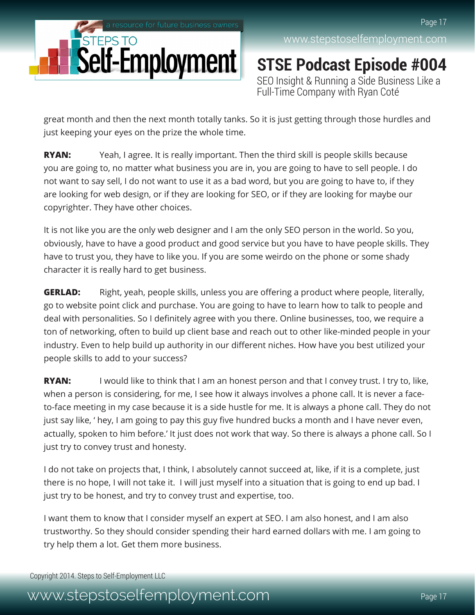

[www.stepstoselfemployment.com](http://www.stepstoselfemployment.com)

**STSE Podcast Episode #004** SEO Insight & Running a Side Business Like a Full-Time Company with Ryan Coté

great month and then the next month totally tanks. So it is just getting through those hurdles and just keeping your eyes on the prize the whole time.

**RYAN:** Yeah, I agree. It is really important. Then the third skill is people skills because you are going to, no matter what business you are in, you are going to have to sell people. I do not want to say sell, I do not want to use it as a bad word, but you are going to have to, if they are looking for web design, or if they are looking for SEO, or if they are looking for maybe our copyrighter. They have other choices.

It is not like you are the only web designer and I am the only SEO person in the world. So you, obviously, have to have a good product and good service but you have to have people skills. They have to trust you, they have to like you. If you are some weirdo on the phone or some shady character it is really hard to get business.

**GERLAD:** Right, yeah, people skills, unless you are offering a product where people, literally, go to website point click and purchase. You are going to have to learn how to talk to people and deal with personalities. So I definitely agree with you there. Online businesses, too, we require a ton of networking, often to build up client base and reach out to other like-minded people in your industry. Even to help build up authority in our different niches. How have you best utilized your people skills to add to your success?

**RYAN:** I would like to think that I am an honest person and that I convey trust. I try to, like, when a person is considering, for me, I see how it always involves a phone call. It is never a faceto-face meeting in my case because it is a side hustle for me. It is always a phone call. They do not just say like, ' hey, I am going to pay this guy five hundred bucks a month and I have never even, actually, spoken to him before.' It just does not work that way. So there is always a phone call. So I just try to convey trust and honesty.

I do not take on projects that, I think, I absolutely cannot succeed at, like, if it is a complete, just there is no hope, I will not take it. I will just myself into a situation that is going to end up bad. I just try to be honest, and try to convey trust and expertise, too.

I want them to know that I consider myself an expert at SEO. I am also honest, and I am also trustworthy. So they should consider spending their hard earned dollars with me. I am going to try help them a lot. Get them more business.

Copyright 2014. Steps to Self-Employment LLC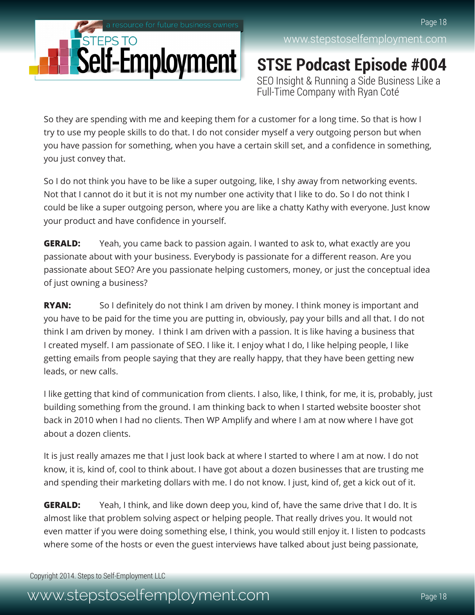

**STSE Podcast Episode #004** SEO Insight & Running a Side Business Like a Full-Time Company with Ryan Coté

So they are spending with me and keeping them for a customer for a long time. So that is how I try to use my people skills to do that. I do not consider myself a very outgoing person but when you have passion for something, when you have a certain skill set, and a confidence in something, you just convey that.

So I do not think you have to be like a super outgoing, like, I shy away from networking events. Not that I cannot do it but it is not my number one activity that I like to do. So I do not think I could be like a super outgoing person, where you are like a chatty Kathy with everyone. Just know your product and have confidence in yourself.

**GERALD:** Yeah, you came back to passion again. I wanted to ask to, what exactly are you passionate about with your business. Everybody is passionate for a different reason. Are you passionate about SEO? Are you passionate helping customers, money, or just the conceptual idea of just owning a business?

**RYAN:** So I definitely do not think I am driven by money. I think money is important and you have to be paid for the time you are putting in, obviously, pay your bills and all that. I do not think I am driven by money. I think I am driven with a passion. It is like having a business that I created myself. I am passionate of SEO. I like it. I enjoy what I do, I like helping people, I like getting emails from people saying that they are really happy, that they have been getting new leads, or new calls.

I like getting that kind of communication from clients. I also, like, I think, for me, it is, probably, just building something from the ground. I am thinking back to when I started website booster shot back in 2010 when I had no clients. Then WP Amplify and where I am at now where I have got about a dozen clients.

It is just really amazes me that I just look back at where I started to where I am at now. I do not know, it is, kind of, cool to think about. I have got about a dozen businesses that are trusting me and spending their marketing dollars with me. I do not know. I just, kind of, get a kick out of it.

**GERALD:** Yeah, I think, and like down deep you, kind of, have the same drive that I do. It is almost like that problem solving aspect or helping people. That really drives you. It would not even matter if you were doing something else, I think, you would still enjoy it. I listen to podcasts where some of the hosts or even the guest interviews have talked about just being passionate,

Copyright 2014. Steps to Self-Employment LLC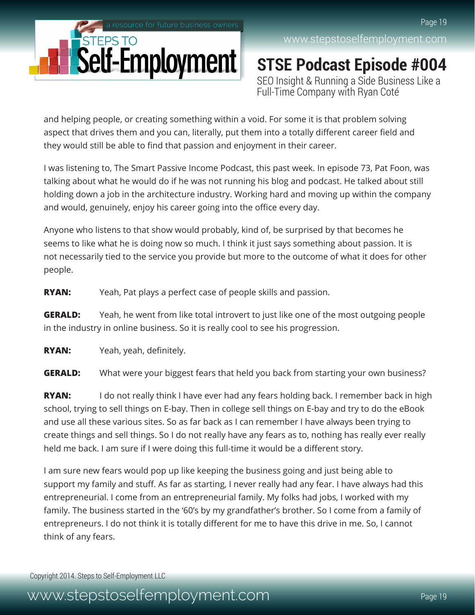

**STSE Podcast Episode #004** SEO Insight & Running a Side Business Like a Full-Time Company with Ryan Coté

and helping people, or creating something within a void. For some it is that problem solving aspect that drives them and you can, literally, put them into a totally different career field and they would still be able to find that passion and enjoyment in their career.

I was listening to, The Smart Passive Income Podcast, this past week. In episode 73, Pat Foon, was talking about what he would do if he was not running his blog and podcast. He talked about still holding down a job in the architecture industry. Working hard and moving up within the company and would, genuinely, enjoy his career going into the office every day.

Anyone who listens to that show would probably, kind of, be surprised by that becomes he seems to like what he is doing now so much. I think it just says something about passion. It is not necessarily tied to the service you provide but more to the outcome of what it does for other people.

**RYAN:** Yeah, Pat plays a perfect case of people skills and passion.

**GERALD:** Yeah, he went from like total introvert to just like one of the most outgoing people in the industry in online business. So it is really cool to see his progression.

**RYAN:** Yeah, yeah, definitely.

**GERALD:** What were your biggest fears that held you back from starting your own business?

**RYAN:** I do not really think I have ever had any fears holding back. I remember back in high school, trying to sell things on E-bay. Then in college sell things on E-bay and try to do the eBook and use all these various sites. So as far back as I can remember I have always been trying to create things and sell things. So I do not really have any fears as to, nothing has really ever really held me back. I am sure if I were doing this full-time it would be a different story.

I am sure new fears would pop up like keeping the business going and just being able to support my family and stuff. As far as starting, I never really had any fear. I have always had this entrepreneurial. I come from an entrepreneurial family. My folks had jobs, I worked with my family. The business started in the '60's by my grandfather's brother. So I come from a family of entrepreneurs. I do not think it is totally different for me to have this drive in me. So, I cannot think of any fears.

Copyright 2014. Steps to Self-Employment LLC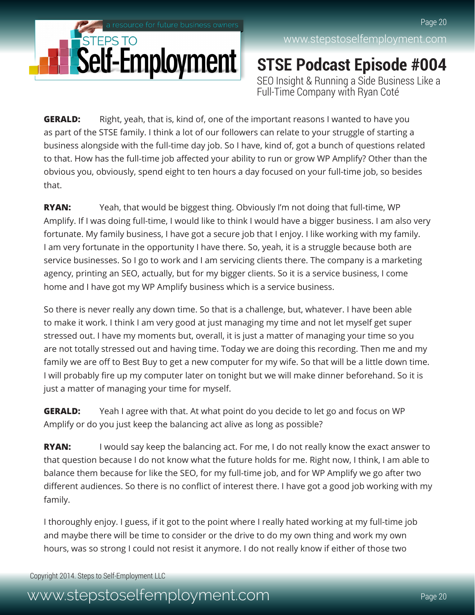

#### [www.stepstoselfemployment.com](http://www.stepstoselfemployment.com)

Page 20

**STSE Podcast Episode #004** SEO Insight & Running a Side Business Like a Full-Time Company with Ryan Coté

**GERALD:** Right, yeah, that is, kind of, one of the important reasons I wanted to have you as part of the STSE family. I think a lot of our followers can relate to your struggle of starting a business alongside with the full-time day job. So I have, kind of, got a bunch of questions related to that. How has the full-time job affected your ability to run or grow WP Amplify? Other than the obvious you, obviously, spend eight to ten hours a day focused on your full-time job, so besides that.

**RYAN:** Yeah, that would be biggest thing. Obviously I'm not doing that full-time, WP Amplify. If I was doing full-time, I would like to think I would have a bigger business. I am also very fortunate. My family business, I have got a secure job that I enjoy. I like working with my family. I am very fortunate in the opportunity I have there. So, yeah, it is a struggle because both are service businesses. So I go to work and I am servicing clients there. The company is a marketing agency, printing an SEO, actually, but for my bigger clients. So it is a service business, I come home and I have got my WP Amplify business which is a service business.

So there is never really any down time. So that is a challenge, but, whatever. I have been able to make it work. I think I am very good at just managing my time and not let myself get super stressed out. I have my moments but, overall, it is just a matter of managing your time so you are not totally stressed out and having time. Today we are doing this recording. Then me and my family we are off to Best Buy to get a new computer for my wife. So that will be a little down time. I will probably fire up my computer later on tonight but we will make dinner beforehand. So it is just a matter of managing your time for myself.

**GERALD:** Yeah I agree with that. At what point do you decide to let go and focus on WP Amplify or do you just keep the balancing act alive as long as possible?

**RYAN:** I would say keep the balancing act. For me, I do not really know the exact answer to that question because I do not know what the future holds for me. Right now, I think, I am able to balance them because for like the SEO, for my full-time job, and for WP Amplify we go after two different audiences. So there is no conflict of interest there. I have got a good job working with my family.

I thoroughly enjoy. I guess, if it got to the point where I really hated working at my full-time job and maybe there will be time to consider or the drive to do my own thing and work my own hours, was so strong I could not resist it anymore. I do not really know if either of those two

Copyright 2014. Steps to Self-Employment LLC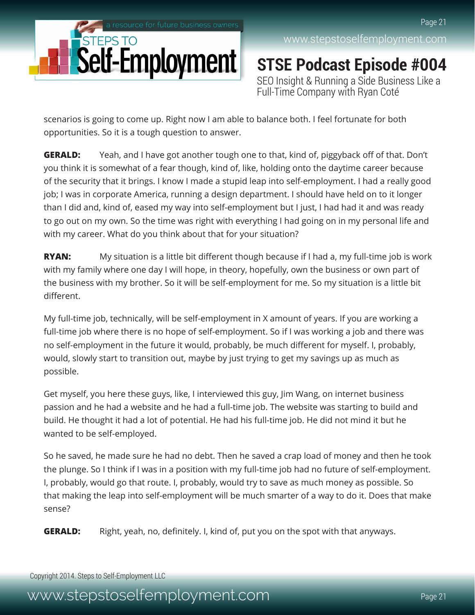

**STSE Podcast Episode #004** SEO Insight & Running a Side Business Like a Full-Time Company with Ryan Coté

scenarios is going to come up. Right now I am able to balance both. I feel fortunate for both opportunities. So it is a tough question to answer.

**GERALD:** Yeah, and I have got another tough one to that, kind of, piggyback off of that. Don't you think it is somewhat of a fear though, kind of, like, holding onto the daytime career because of the security that it brings. I know I made a stupid leap into self-employment. I had a really good job; I was in corporate America, running a design department. I should have held on to it longer than I did and, kind of, eased my way into self-employment but I just, I had had it and was ready to go out on my own. So the time was right with everything I had going on in my personal life and with my career. What do you think about that for your situation?

**RYAN:** My situation is a little bit different though because if I had a, my full-time job is work with my family where one day I will hope, in theory, hopefully, own the business or own part of the business with my brother. So it will be self-employment for me. So my situation is a little bit different.

My full-time job, technically, will be self-employment in X amount of years. If you are working a full-time job where there is no hope of self-employment. So if I was working a job and there was no self-employment in the future it would, probably, be much different for myself. I, probably, would, slowly start to transition out, maybe by just trying to get my savings up as much as possible.

Get myself, you here these guys, like, I interviewed this guy, Jim Wang, on internet business passion and he had a website and he had a full-time job. The website was starting to build and build. He thought it had a lot of potential. He had his full-time job. He did not mind it but he wanted to be self-employed.

So he saved, he made sure he had no debt. Then he saved a crap load of money and then he took the plunge. So I think if I was in a position with my full-time job had no future of self-employment. I, probably, would go that route. I, probably, would try to save as much money as possible. So that making the leap into self-employment will be much smarter of a way to do it. Does that make sense?

**GERALD:** Right, yeah, no, definitely. I, kind of, put you on the spot with that anyways.

Copyright 2014. Steps to Self-Employment LLC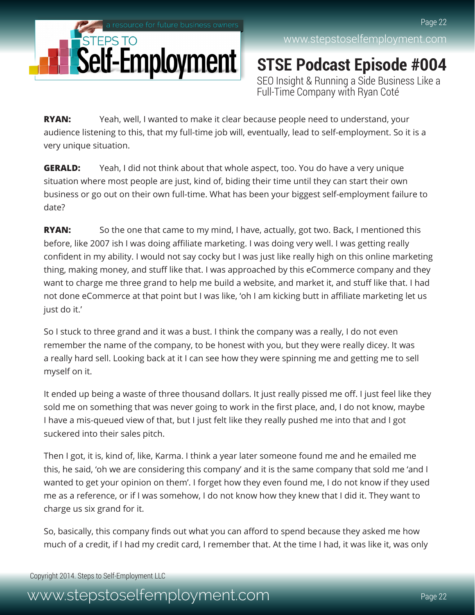

**STSE Podcast Episode #004** SEO Insight & Running a Side Business Like a Full-Time Company with Ryan Coté

**RYAN:** Yeah, well, I wanted to make it clear because people need to understand, your audience listening to this, that my full-time job will, eventually, lead to self-employment. So it is a very unique situation.

**GERALD:** Yeah, I did not think about that whole aspect, too. You do have a very unique situation where most people are just, kind of, biding their time until they can start their own business or go out on their own full-time. What has been your biggest self-employment failure to date?

**RYAN:** So the one that came to my mind, I have, actually, got two. Back, I mentioned this before, like 2007 ish I was doing affiliate marketing. I was doing very well. I was getting really confident in my ability. I would not say cocky but I was just like really high on this online marketing thing, making money, and stuff like that. I was approached by this eCommerce company and they want to charge me three grand to help me build a website, and market it, and stuff like that. I had not done eCommerce at that point but I was like, 'oh I am kicking butt in affiliate marketing let us just do it.'

So I stuck to three grand and it was a bust. I think the company was a really, I do not even remember the name of the company, to be honest with you, but they were really dicey. It was a really hard sell. Looking back at it I can see how they were spinning me and getting me to sell myself on it.

It ended up being a waste of three thousand dollars. It just really pissed me off. I just feel like they sold me on something that was never going to work in the first place, and, I do not know, maybe I have a mis-queued view of that, but I just felt like they really pushed me into that and I got suckered into their sales pitch.

Then I got, it is, kind of, like, Karma. I think a year later someone found me and he emailed me this, he said, 'oh we are considering this company' and it is the same company that sold me 'and I wanted to get your opinion on them'. I forget how they even found me, I do not know if they used me as a reference, or if I was somehow, I do not know how they knew that I did it. They want to charge us six grand for it.

So, basically, this company finds out what you can afford to spend because they asked me how much of a credit, if I had my credit card, I remember that. At the time I had, it was like it, was only

Copyright 2014. Steps to Self-Employment LLC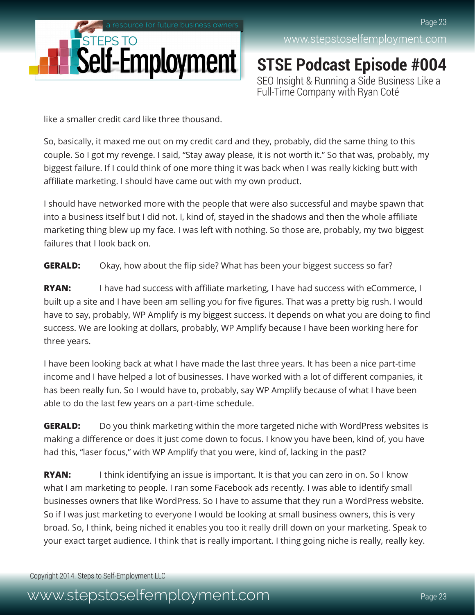

[www.stepstoselfemployment.com](http://www.stepstoselfemployment.com)

**STSE Podcast Episode #004** SEO Insight & Running a Side Business Like a Full-Time Company with Ryan Coté

like a smaller credit card like three thousand.

So, basically, it maxed me out on my credit card and they, probably, did the same thing to this couple. So I got my revenge. I said, "Stay away please, it is not worth it." So that was, probably, my biggest failure. If I could think of one more thing it was back when I was really kicking butt with affiliate marketing. I should have came out with my own product.

I should have networked more with the people that were also successful and maybe spawn that into a business itself but I did not. I, kind of, stayed in the shadows and then the whole affiliate marketing thing blew up my face. I was left with nothing. So those are, probably, my two biggest failures that I look back on.

**GERALD:** Okay, how about the flip side? What has been your biggest success so far?

**RYAN:** I have had success with affiliate marketing, I have had success with eCommerce, I built up a site and I have been am selling you for five figures. That was a pretty big rush. I would have to say, probably, WP Amplify is my biggest success. It depends on what you are doing to find success. We are looking at dollars, probably, WP Amplify because I have been working here for three years.

I have been looking back at what I have made the last three years. It has been a nice part-time income and I have helped a lot of businesses. I have worked with a lot of different companies, it has been really fun. So I would have to, probably, say WP Amplify because of what I have been able to do the last few years on a part-time schedule.

**GERALD:** Do you think marketing within the more targeted niche with WordPress websites is making a difference or does it just come down to focus. I know you have been, kind of, you have had this, "laser focus," with WP Amplify that you were, kind of, lacking in the past?

**RYAN:** I think identifying an issue is important. It is that you can zero in on. So I know what I am marketing to people. I ran some Facebook ads recently. I was able to identify small businesses owners that like WordPress. So I have to assume that they run a WordPress website. So if I was just marketing to everyone I would be looking at small business owners, this is very broad. So, I think, being niched it enables you too it really drill down on your marketing. Speak to your exact target audience. I think that is really important. I thing going niche is really, really key.

Copyright 2014. Steps to Self-Employment LLC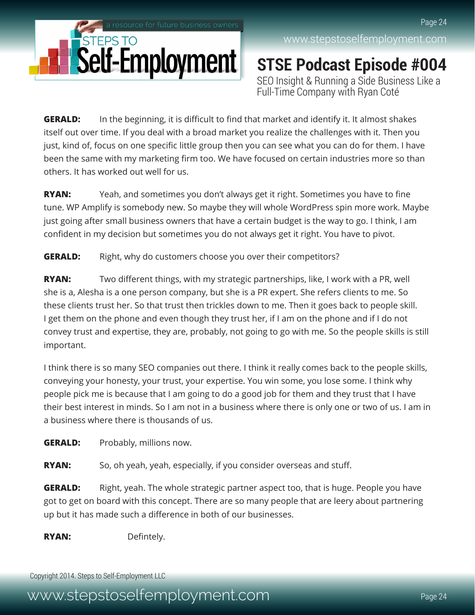

**STSE Podcast Episode #004** SEO Insight & Running a Side Business Like a Full-Time Company with Ryan Coté

**GERALD:** In the beginning, it is difficult to find that market and identify it. It almost shakes itself out over time. If you deal with a broad market you realize the challenges with it. Then you just, kind of, focus on one specific little group then you can see what you can do for them. I have been the same with my marketing firm too. We have focused on certain industries more so than others. It has worked out well for us.

**RYAN:** Yeah, and sometimes you don't always get it right. Sometimes you have to fine tune. WP Amplify is somebody new. So maybe they will whole WordPress spin more work. Maybe just going after small business owners that have a certain budget is the way to go. I think, I am confident in my decision but sometimes you do not always get it right. You have to pivot.

**GERALD:** Right, why do customers choose you over their competitors?

**RYAN:** Two different things, with my strategic partnerships, like, I work with a PR, well she is a, Alesha is a one person company, but she is a PR expert. She refers clients to me. So these clients trust her. So that trust then trickles down to me. Then it goes back to people skill. I get them on the phone and even though they trust her, if I am on the phone and if I do not convey trust and expertise, they are, probably, not going to go with me. So the people skills is still important.

I think there is so many SEO companies out there. I think it really comes back to the people skills, conveying your honesty, your trust, your expertise. You win some, you lose some. I think why people pick me is because that I am going to do a good job for them and they trust that I have their best interest in minds. So I am not in a business where there is only one or two of us. I am in a business where there is thousands of us.

**GERALD:** Probably, millions now.

**RYAN:** So, oh yeah, yeah, especially, if you consider overseas and stuff.

**GERALD:** Right, yeah. The whole strategic partner aspect too, that is huge. People you have got to get on board with this concept. There are so many people that are leery about partnering up but it has made such a difference in both of our businesses.

**RYAN:** Defintely.

Copyright 2014. Steps to Self-Employment LLC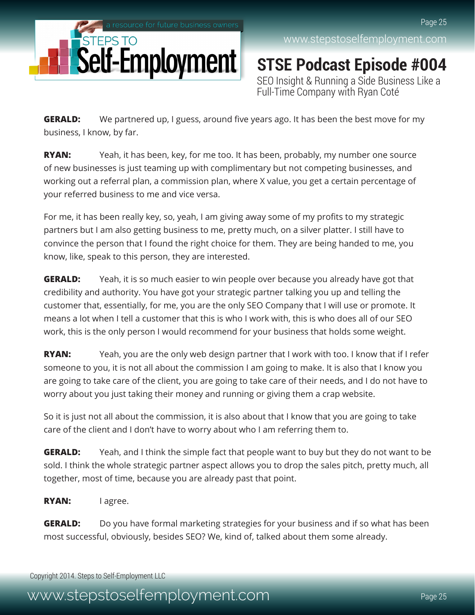

**STSE Podcast Episode #004** SEO Insight & Running a Side Business Like a Full-Time Company with Ryan Coté

**GERALD:** We partnered up, I guess, around five years ago. It has been the best move for my business, I know, by far.

**RYAN:** Yeah, it has been, key, for me too. It has been, probably, my number one source of new businesses is just teaming up with complimentary but not competing businesses, and working out a referral plan, a commission plan, where X value, you get a certain percentage of your referred business to me and vice versa.

For me, it has been really key, so, yeah, I am giving away some of my profits to my strategic partners but I am also getting business to me, pretty much, on a silver platter. I still have to convince the person that I found the right choice for them. They are being handed to me, you know, like, speak to this person, they are interested.

**GERALD:** Yeah, it is so much easier to win people over because you already have got that credibility and authority. You have got your strategic partner talking you up and telling the customer that, essentially, for me, you are the only SEO Company that I will use or promote. It means a lot when I tell a customer that this is who I work with, this is who does all of our SEO work, this is the only person I would recommend for your business that holds some weight.

**RYAN:** Yeah, you are the only web design partner that I work with too. I know that if I refer someone to you, it is not all about the commission I am going to make. It is also that I know you are going to take care of the client, you are going to take care of their needs, and I do not have to worry about you just taking their money and running or giving them a crap website.

So it is just not all about the commission, it is also about that I know that you are going to take care of the client and I don't have to worry about who I am referring them to.

**GERALD:** Yeah, and I think the simple fact that people want to buy but they do not want to be sold. I think the whole strategic partner aspect allows you to drop the sales pitch, pretty much, all together, most of time, because you are already past that point.

**RYAN:** I agree.

**GERALD:** Do you have formal marketing strategies for your business and if so what has been most successful, obviously, besides SEO? We, kind of, talked about them some already.

Copyright 2014. Steps to Self-Employment LLC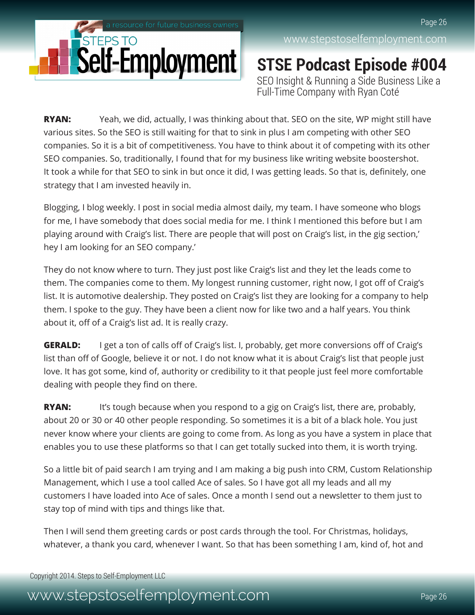

**STSE Podcast Episode #004** SEO Insight & Running a Side Business Like a Full-Time Company with Ryan Coté

**RYAN:** Yeah, we did, actually, I was thinking about that. SEO on the site, WP might still have various sites. So the SEO is still waiting for that to sink in plus I am competing with other SEO companies. So it is a bit of competitiveness. You have to think about it of competing with its other SEO companies. So, traditionally, I found that for my business like writing website boostershot. It took a while for that SEO to sink in but once it did, I was getting leads. So that is, definitely, one strategy that I am invested heavily in.

Blogging, I blog weekly. I post in social media almost daily, my team. I have someone who blogs for me, I have somebody that does social media for me. I think I mentioned this before but I am playing around with Craig's list. There are people that will post on Craig's list, in the gig section,' hey I am looking for an SEO company.'

They do not know where to turn. They just post like Craig's list and they let the leads come to them. The companies come to them. My longest running customer, right now, I got off of Craig's list. It is automotive dealership. They posted on Craig's list they are looking for a company to help them. I spoke to the guy. They have been a client now for like two and a half years. You think about it, off of a Craig's list ad. It is really crazy.

**GERALD:** I get a ton of calls off of Craig's list. I, probably, get more conversions off of Craig's list than off of Google, believe it or not. I do not know what it is about Craig's list that people just love. It has got some, kind of, authority or credibility to it that people just feel more comfortable dealing with people they find on there.

**RYAN:** It's tough because when you respond to a gig on Craig's list, there are, probably, about 20 or 30 or 40 other people responding. So sometimes it is a bit of a black hole. You just never know where your clients are going to come from. As long as you have a system in place that enables you to use these platforms so that I can get totally sucked into them, it is worth trying.

So a little bit of paid search I am trying and I am making a big push into CRM, Custom Relationship Management, which I use a tool called Ace of sales. So I have got all my leads and all my customers I have loaded into Ace of sales. Once a month I send out a newsletter to them just to stay top of mind with tips and things like that.

Then I will send them greeting cards or post cards through the tool. For Christmas, holidays, whatever, a thank you card, whenever I want. So that has been something I am, kind of, hot and

Copyright 2014. Steps to Self-Employment LLC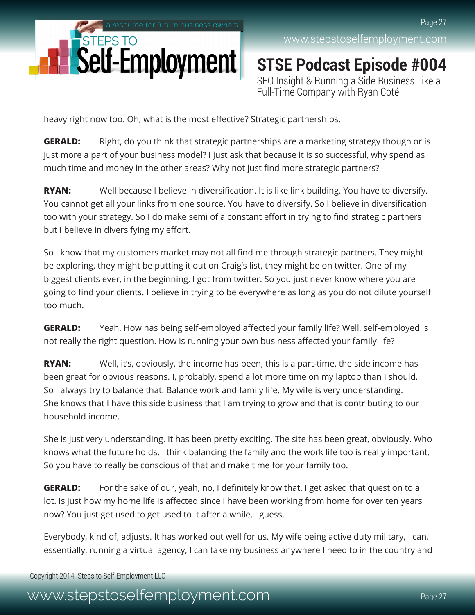

**STSE Podcast Episode #004** SEO Insight & Running a Side Business Like a Full-Time Company with Ryan Coté

heavy right now too. Oh, what is the most effective? Strategic partnerships.

**GERALD:** Right, do you think that strategic partnerships are a marketing strategy though or is just more a part of your business model? I just ask that because it is so successful, why spend as much time and money in the other areas? Why not just find more strategic partners?

**RYAN:** Well because I believe in diversification. It is like link building. You have to diversify. You cannot get all your links from one source. You have to diversify. So I believe in diversification too with your strategy. So I do make semi of a constant effort in trying to find strategic partners but I believe in diversifying my effort.

So I know that my customers market may not all find me through strategic partners. They might be exploring, they might be putting it out on Craig's list, they might be on twitter. One of my biggest clients ever, in the beginning, I got from twitter. So you just never know where you are going to find your clients. I believe in trying to be everywhere as long as you do not dilute yourself too much.

**GERALD:** Yeah. How has being self-employed affected your family life? Well, self-employed is not really the right question. How is running your own business affected your family life?

**RYAN:** Well, it's, obviously, the income has been, this is a part-time, the side income has been great for obvious reasons. I, probably, spend a lot more time on my laptop than I should. So I always try to balance that. Balance work and family life. My wife is very understanding. She knows that I have this side business that I am trying to grow and that is contributing to our household income.

She is just very understanding. It has been pretty exciting. The site has been great, obviously. Who knows what the future holds. I think balancing the family and the work life too is really important. So you have to really be conscious of that and make time for your family too.

**GERALD:** For the sake of our, yeah, no, I definitely know that. I get asked that question to a lot. Is just how my home life is affected since I have been working from home for over ten years now? You just get used to get used to it after a while, I guess.

Everybody, kind of, adjusts. It has worked out well for us. My wife being active duty military, I can, essentially, running a virtual agency, I can take my business anywhere I need to in the country and

Copyright 2014. Steps to Self-Employment LLC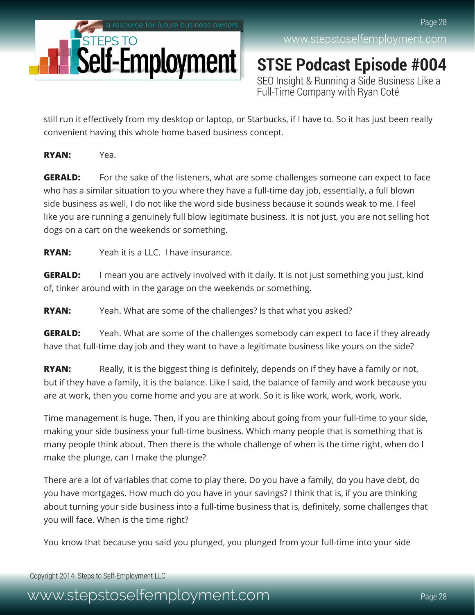

**STSE Podcast Episode #004** SEO Insight & Running a Side Business Like a Full-Time Company with Ryan Coté

still run it effectively from my desktop or laptop, or Starbucks, if I have to. So it has just been really convenient having this whole home based business concept.

**RYAN:** Yea.

**GERALD:** For the sake of the listeners, what are some challenges someone can expect to face who has a similar situation to you where they have a full-time day job, essentially, a full blown side business as well, I do not like the word side business because it sounds weak to me. I feel like you are running a genuinely full blow legitimate business. It is not just, you are not selling hot dogs on a cart on the weekends or something.

**RYAN:** Yeah it is a LLC. I have insurance.

**GERALD:** I mean you are actively involved with it daily. It is not just something you just, kind of, tinker around with in the garage on the weekends or something.

**RYAN:** Yeah. What are some of the challenges? Is that what you asked?

**GERALD:** Yeah. What are some of the challenges somebody can expect to face if they already have that full-time day job and they want to have a legitimate business like yours on the side?

**RYAN:** Really, it is the biggest thing is definitely, depends on if they have a family or not, but if they have a family, it is the balance. Like I said, the balance of family and work because you are at work, then you come home and you are at work. So it is like work, work, work, work.

Time management is huge. Then, if you are thinking about going from your full-time to your side, making your side business your full-time business. Which many people that is something that is many people think about. Then there is the whole challenge of when is the time right, when do I make the plunge, can I make the plunge?

There are a lot of variables that come to play there. Do you have a family, do you have debt, do you have mortgages. How much do you have in your savings? I think that is, if you are thinking about turning your side business into a full-time business that is, definitely, some challenges that you will face. When is the time right?

You know that because you said you plunged, you plunged from your full-time into your side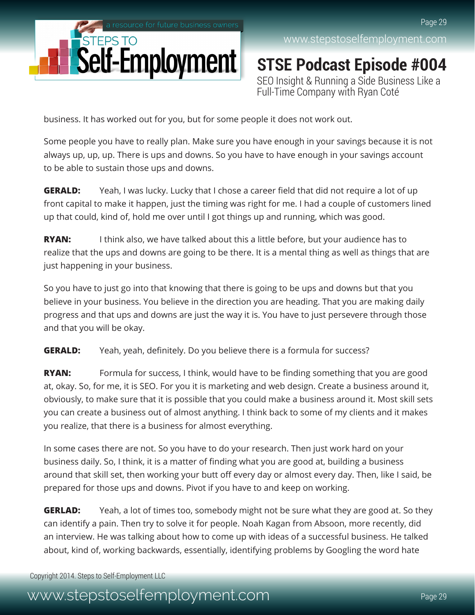

**STSE Podcast Episode #004** SEO Insight & Running a Side Business Like a Full-Time Company with Ryan Coté

business. It has worked out for you, but for some people it does not work out.

Some people you have to really plan. Make sure you have enough in your savings because it is not always up, up, up. There is ups and downs. So you have to have enough in your savings account to be able to sustain those ups and downs.

**GERALD:** Yeah, I was lucky. Lucky that I chose a career field that did not require a lot of up front capital to make it happen, just the timing was right for me. I had a couple of customers lined up that could, kind of, hold me over until I got things up and running, which was good.

**RYAN:** I think also, we have talked about this a little before, but your audience has to realize that the ups and downs are going to be there. It is a mental thing as well as things that are just happening in your business.

So you have to just go into that knowing that there is going to be ups and downs but that you believe in your business. You believe in the direction you are heading. That you are making daily progress and that ups and downs are just the way it is. You have to just persevere through those and that you will be okay.

**GERALD:** Yeah, yeah, definitely. Do you believe there is a formula for success?

**RYAN:** Formula for success, I think, would have to be finding something that you are good at, okay. So, for me, it is SEO. For you it is marketing and web design. Create a business around it, obviously, to make sure that it is possible that you could make a business around it. Most skill sets you can create a business out of almost anything. I think back to some of my clients and it makes you realize, that there is a business for almost everything.

In some cases there are not. So you have to do your research. Then just work hard on your business daily. So, I think, it is a matter of finding what you are good at, building a business around that skill set, then working your butt off every day or almost every day. Then, like I said, be prepared for those ups and downs. Pivot if you have to and keep on working.

**GERLAD:** Yeah, a lot of times too, somebody might not be sure what they are good at. So they can identify a pain. Then try to solve it for people. Noah Kagan from Absoon, more recently, did an interview. He was talking about how to come up with ideas of a successful business. He talked about, kind of, working backwards, essentially, identifying problems by Googling the word hate

Copyright 2014. Steps to Self-Employment LLC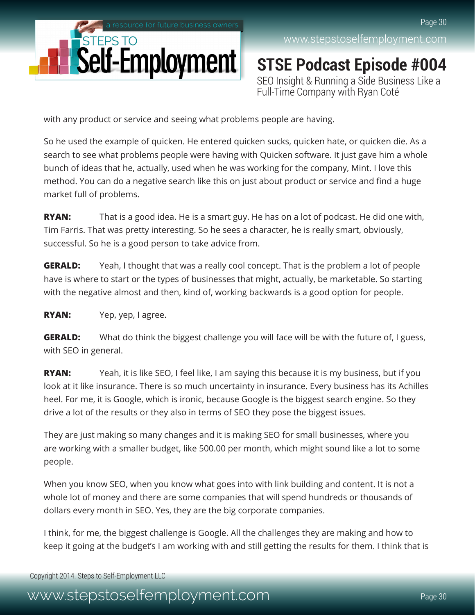

**STSE Podcast Episode #004** SEO Insight & Running a Side Business Like a Full-Time Company with Ryan Coté

with any product or service and seeing what problems people are having.

So he used the example of quicken. He entered quicken sucks, quicken hate, or quicken die. As a search to see what problems people were having with Quicken software. It just gave him a whole bunch of ideas that he, actually, used when he was working for the company, Mint. I love this method. You can do a negative search like this on just about product or service and find a huge market full of problems.

**RYAN:** That is a good idea. He is a smart guy. He has on a lot of podcast. He did one with, Tim Farris. That was pretty interesting. So he sees a character, he is really smart, obviously, successful. So he is a good person to take advice from.

**GERALD:** Yeah, I thought that was a really cool concept. That is the problem a lot of people have is where to start or the types of businesses that might, actually, be marketable. So starting with the negative almost and then, kind of, working backwards is a good option for people.

**RYAN:** Yep, yep, I agree.

**GERALD:** What do think the biggest challenge you will face will be with the future of, I guess, with SEO in general.

**RYAN:** Yeah, it is like SEO, I feel like, I am saying this because it is my business, but if you look at it like insurance. There is so much uncertainty in insurance. Every business has its Achilles heel. For me, it is Google, which is ironic, because Google is the biggest search engine. So they drive a lot of the results or they also in terms of SEO they pose the biggest issues.

They are just making so many changes and it is making SEO for small businesses, where you are working with a smaller budget, like 500.00 per month, which might sound like a lot to some people.

When you know SEO, when you know what goes into with link building and content. It is not a whole lot of money and there are some companies that will spend hundreds or thousands of dollars every month in SEO. Yes, they are the big corporate companies.

I think, for me, the biggest challenge is Google. All the challenges they are making and how to keep it going at the budget's I am working with and still getting the results for them. I think that is

Copyright 2014. Steps to Self-Employment LLC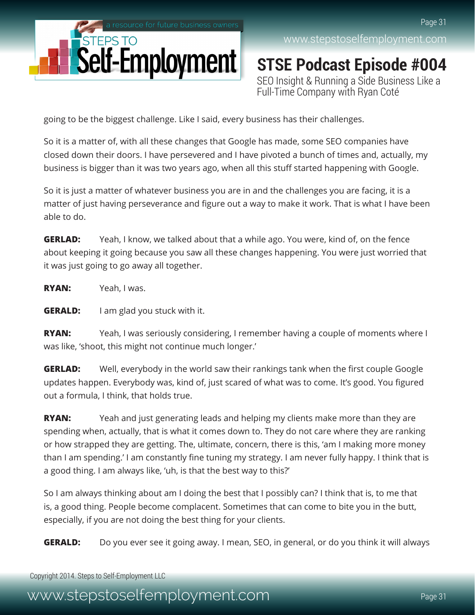

**STSE Podcast Episode #004** SEO Insight & Running a Side Business Like a Full-Time Company with Ryan Coté

going to be the biggest challenge. Like I said, every business has their challenges.

So it is a matter of, with all these changes that Google has made, some SEO companies have closed down their doors. I have persevered and I have pivoted a bunch of times and, actually, my business is bigger than it was two years ago, when all this stuff started happening with Google.

So it is just a matter of whatever business you are in and the challenges you are facing, it is a matter of just having perseverance and figure out a way to make it work. That is what I have been able to do.

**GERLAD:** Yeah, I know, we talked about that a while ago. You were, kind of, on the fence about keeping it going because you saw all these changes happening. You were just worried that it was just going to go away all together.

**RYAN:** Yeah, I was.

**GERALD:** I am glad you stuck with it.

**RYAN:** Yeah, I was seriously considering, I remember having a couple of moments where I was like, 'shoot, this might not continue much longer.'

**GERLAD:** Well, everybody in the world saw their rankings tank when the first couple Google updates happen. Everybody was, kind of, just scared of what was to come. It's good. You figured out a formula, I think, that holds true.

**RYAN:** Yeah and just generating leads and helping my clients make more than they are spending when, actually, that is what it comes down to. They do not care where they are ranking or how strapped they are getting. The, ultimate, concern, there is this, 'am I making more money than I am spending.' I am constantly fine tuning my strategy. I am never fully happy. I think that is a good thing. I am always like, 'uh, is that the best way to this?'

So I am always thinking about am I doing the best that I possibly can? I think that is, to me that is, a good thing. People become complacent. Sometimes that can come to bite you in the butt, especially, if you are not doing the best thing for your clients.

**GERALD:** Do you ever see it going away. I mean, SEO, in general, or do you think it will always

Copyright 2014. Steps to Self-Employment LLC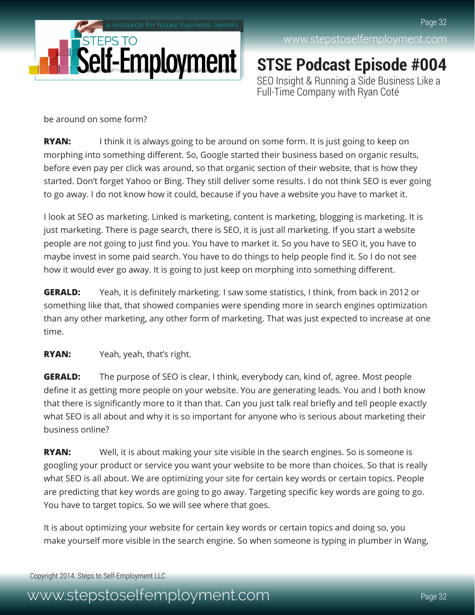

**STSE Podcast Episode #004** SEO Insight & Running a Side Business Like a Full-Time Company with Ryan Coté

be around on some form?

**RYAN:** I think it is always going to be around on some form. It is just going to keep on morphing into something different. So, Google started their business based on organic results, before even pay per click was around, so that organic section of their website, that is how they started. Don't forget Yahoo or Bing. They still deliver some results. I do not think SEO is ever going to go away. I do not know how it could, because if you have a website you have to market it.

I look at SEO as marketing. Linked is marketing, content is marketing, blogging is marketing. It is just marketing. There is page search, there is SEO, it is just all marketing. If you start a website people are not going to just find you. You have to market it. So you have to SEO it, you have to maybe invest in some paid search. You have to do things to help people find it. So I do not see how it would ever go away. It is going to just keep on morphing into something different.

**GERALD:** Yeah, it is definitely marketing. I saw some statistics, I think, from back in 2012 or something like that, that showed companies were spending more in search engines optimization than any other marketing, any other form of marketing. That was just expected to increase at one time.

**RYAN:** Yeah, yeah, that's right.

**GERALD:** The purpose of SEO is clear, I think, everybody can, kind of, agree. Most people define it as getting more people on your website. You are generating leads. You and I both know that there is significantly more to it than that. Can you just talk real briefly and tell people exactly what SEO is all about and why it is so important for anyone who is serious about marketing their business online?

**RYAN:** Well, it is about making your site visible in the search engines. So is someone is googling your product or service you want your website to be more than choices. So that is really what SEO is all about. We are optimizing your site for certain key words or certain topics. People are predicting that key words are going to go away. Targeting specific key words are going to go. You have to target topics. So we will see where that goes.

It is about optimizing your website for certain key words or certain topics and doing so, you make yourself more visible in the search engine. So when someone is typing in plumber in Wang,

Copyright 2014. Steps to Self-Employment LLC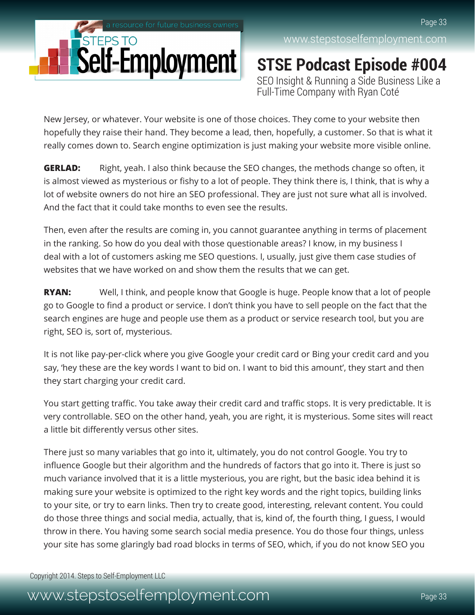

**STSE Podcast Episode #004** SEO Insight & Running a Side Business Like a Full-Time Company with Ryan Coté

New Jersey, or whatever. Your website is one of those choices. They come to your website then hopefully they raise their hand. They become a lead, then, hopefully, a customer. So that is what it really comes down to. Search engine optimization is just making your website more visible online.

**GERLAD:** Right, yeah. I also think because the SEO changes, the methods change so often, it is almost viewed as mysterious or fishy to a lot of people. They think there is, I think, that is why a lot of website owners do not hire an SEO professional. They are just not sure what all is involved. And the fact that it could take months to even see the results.

Then, even after the results are coming in, you cannot guarantee anything in terms of placement in the ranking. So how do you deal with those questionable areas? I know, in my business I deal with a lot of customers asking me SEO questions. I, usually, just give them case studies of websites that we have worked on and show them the results that we can get.

**RYAN:** Well, I think, and people know that Google is huge. People know that a lot of people go to Google to find a product or service. I don't think you have to sell people on the fact that the search engines are huge and people use them as a product or service research tool, but you are right, SEO is, sort of, mysterious.

It is not like pay-per-click where you give Google your credit card or Bing your credit card and you say, 'hey these are the key words I want to bid on. I want to bid this amount', they start and then they start charging your credit card.

You start getting traffic. You take away their credit card and traffic stops. It is very predictable. It is very controllable. SEO on the other hand, yeah, you are right, it is mysterious. Some sites will react a little bit differently versus other sites.

There just so many variables that go into it, ultimately, you do not control Google. You try to influence Google but their algorithm and the hundreds of factors that go into it. There is just so much variance involved that it is a little mysterious, you are right, but the basic idea behind it is making sure your website is optimized to the right key words and the right topics, building links to your site, or try to earn links. Then try to create good, interesting, relevant content. You could do those three things and social media, actually, that is, kind of, the fourth thing, I guess, I would throw in there. You having some search social media presence. You do those four things, unless your site has some glaringly bad road blocks in terms of SEO, which, if you do not know SEO you

Copyright 2014. Steps to Self-Employment LLC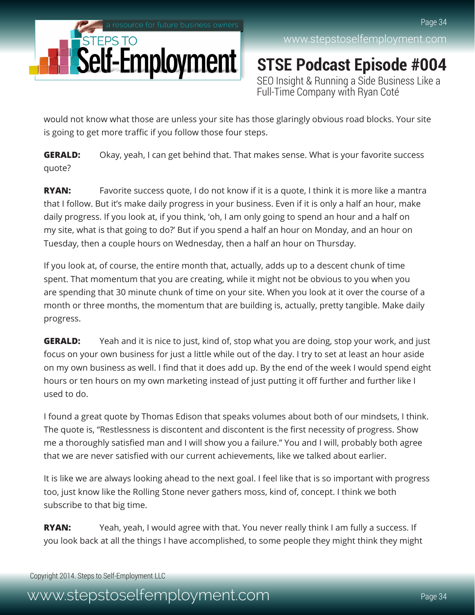

**STSE Podcast Episode #004** SEO Insight & Running a Side Business Like a Full-Time Company with Ryan Coté

would not know what those are unless your site has those glaringly obvious road blocks. Your site is going to get more traffic if you follow those four steps.

**GERALD:** Okay, yeah, I can get behind that. That makes sense. What is your favorite success quote?

**RYAN:** Favorite success quote, I do not know if it is a quote, I think it is more like a mantra that I follow. But it's make daily progress in your business. Even if it is only a half an hour, make daily progress. If you look at, if you think, 'oh, I am only going to spend an hour and a half on my site, what is that going to do?' But if you spend a half an hour on Monday, and an hour on Tuesday, then a couple hours on Wednesday, then a half an hour on Thursday.

If you look at, of course, the entire month that, actually, adds up to a descent chunk of time spent. That momentum that you are creating, while it might not be obvious to you when you are spending that 30 minute chunk of time on your site. When you look at it over the course of a month or three months, the momentum that are building is, actually, pretty tangible. Make daily progress.

**GERALD:** Yeah and it is nice to just, kind of, stop what you are doing, stop your work, and just focus on your own business for just a little while out of the day. I try to set at least an hour aside on my own business as well. I find that it does add up. By the end of the week I would spend eight hours or ten hours on my own marketing instead of just putting it off further and further like I used to do.

I found a great quote by Thomas Edison that speaks volumes about both of our mindsets, I think. The quote is, "Restlessness is discontent and discontent is the first necessity of progress. Show me a thoroughly satisfied man and I will show you a failure." You and I will, probably both agree that we are never satisfied with our current achievements, like we talked about earlier.

It is like we are always looking ahead to the next goal. I feel like that is so important with progress too, just know like the Rolling Stone never gathers moss, kind of, concept. I think we both subscribe to that big time.

**RYAN:** Yeah, yeah, I would agree with that. You never really think I am fully a success. If you look back at all the things I have accomplished, to some people they might think they might

Copyright 2014. Steps to Self-Employment LLC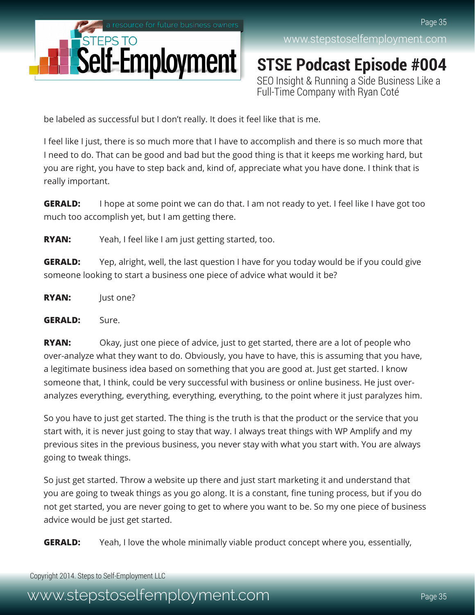

**STSE Podcast Episode #004** SEO Insight & Running a Side Business Like a Full-Time Company with Ryan Coté

be labeled as successful but I don't really. It does it feel like that is me.

I feel like I just, there is so much more that I have to accomplish and there is so much more that I need to do. That can be good and bad but the good thing is that it keeps me working hard, but you are right, you have to step back and, kind of, appreciate what you have done. I think that is really important.

**GERALD:** I hope at some point we can do that. I am not ready to yet. I feel like I have got too much too accomplish yet, but I am getting there.

**RYAN:** Yeah, I feel like I am just getting started, too.

**GERALD:** Yep, alright, well, the last question I have for you today would be if you could give someone looking to start a business one piece of advice what would it be?

**RYAN:** Just one?

#### **GERALD:** Sure.

**RYAN:** Okay, just one piece of advice, just to get started, there are a lot of people who over-analyze what they want to do. Obviously, you have to have, this is assuming that you have, a legitimate business idea based on something that you are good at. Just get started. I know someone that, I think, could be very successful with business or online business. He just overanalyzes everything, everything, everything, everything, to the point where it just paralyzes him.

So you have to just get started. The thing is the truth is that the product or the service that you start with, it is never just going to stay that way. I always treat things with WP Amplify and my previous sites in the previous business, you never stay with what you start with. You are always going to tweak things.

So just get started. Throw a website up there and just start marketing it and understand that you are going to tweak things as you go along. It is a constant, fine tuning process, but if you do not get started, you are never going to get to where you want to be. So my one piece of business advice would be just get started.

**GERALD:** Yeah, I love the whole minimally viable product concept where you, essentially,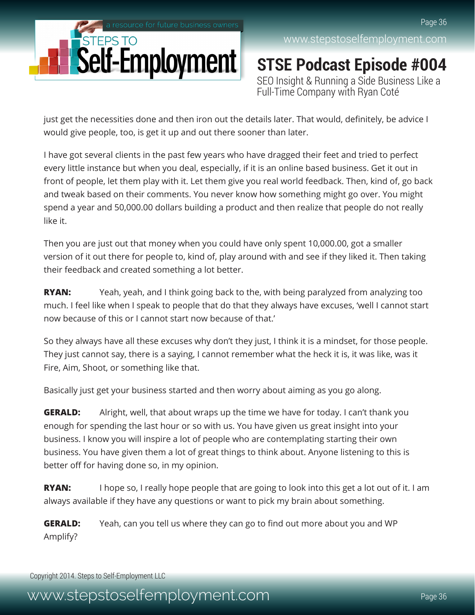

**STSE Podcast Episode #004** SEO Insight & Running a Side Business Like a Full-Time Company with Ryan Coté

just get the necessities done and then iron out the details later. That would, definitely, be advice I would give people, too, is get it up and out there sooner than later.

I have got several clients in the past few years who have dragged their feet and tried to perfect every little instance but when you deal, especially, if it is an online based business. Get it out in front of people, let them play with it. Let them give you real world feedback. Then, kind of, go back and tweak based on their comments. You never know how something might go over. You might spend a year and 50,000.00 dollars building a product and then realize that people do not really like it.

Then you are just out that money when you could have only spent 10,000.00, got a smaller version of it out there for people to, kind of, play around with and see if they liked it. Then taking their feedback and created something a lot better.

**RYAN:** Yeah, yeah, and I think going back to the, with being paralyzed from analyzing too much. I feel like when I speak to people that do that they always have excuses, 'well I cannot start now because of this or I cannot start now because of that.'

So they always have all these excuses why don't they just, I think it is a mindset, for those people. They just cannot say, there is a saying, I cannot remember what the heck it is, it was like, was it Fire, Aim, Shoot, or something like that.

Basically just get your business started and then worry about aiming as you go along.

**GERALD:** Alright, well, that about wraps up the time we have for today. I can't thank you enough for spending the last hour or so with us. You have given us great insight into your business. I know you will inspire a lot of people who are contemplating starting their own business. You have given them a lot of great things to think about. Anyone listening to this is better off for having done so, in my opinion.

**RYAN:** I hope so, I really hope people that are going to look into this get a lot out of it. I am always available if they have any questions or want to pick my brain about something.

**GERALD:** Yeah, can you tell us where they can go to find out more about you and WP Amplify?

Copyright 2014. Steps to Self-Employment LLC